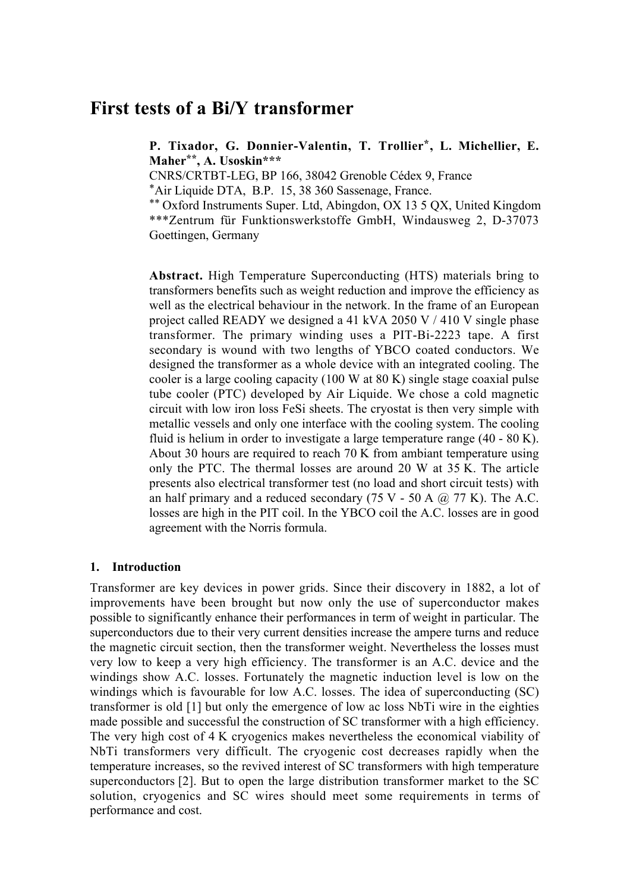# **First tests of a Bi/Y transformer**

**P. Tixador, G. Donnier-Valentin, T. Trollier\*, L. Michellier, E. Maher\*\*, A. Usoskin\*\*\***

CNRS/CRTBT-LEG, BP 166, 38042 Grenoble CÈdex 9, France

\*Air Liquide DTA, B.P. 15, 38 360 Sassenage, France.

\*\* Oxford Instruments Super. Ltd, Abingdon, OX 13 5 QX, United Kingdom \*\*\*Zentrum für Funktionswerkstoffe GmbH, Windausweg 2, D-37073 Goettingen, Germany

**Abstract.** High Temperature Superconducting (HTS) materials bring to transformers benefits such as weight reduction and improve the efficiency as well as the electrical behaviour in the network. In the frame of an European project called READY we designed a 41 kVA 2050 V / 410 V single phase transformer. The primary winding uses a PIT-Bi-2223 tape. A first secondary is wound with two lengths of YBCO coated conductors. We designed the transformer as a whole device with an integrated cooling. The cooler is a large cooling capacity (100 W at 80 K) single stage coaxial pulse tube cooler (PTC) developed by Air Liquide. We chose a cold magnetic circuit with low iron loss FeSi sheets. The cryostat is then very simple with metallic vessels and only one interface with the cooling system. The cooling fluid is helium in order to investigate a large temperature range (40 - 80 K). About 30 hours are required to reach 70 K from ambiant temperature using only the PTC. The thermal losses are around 20 W at 35 K. The article presents also electrical transformer test (no load and short circuit tests) with an half primary and a reduced secondary (75 V - 50 A  $\omega$  77 K). The A.C. losses are high in the PIT coil. In the YBCO coil the A.C. losses are in good agreement with the Norris formula.

## **1. Introduction**

Transformer are key devices in power grids. Since their discovery in 1882, a lot of improvements have been brought but now only the use of superconductor makes possible to significantly enhance their performances in term of weight in particular. The superconductors due to their very current densities increase the ampere turns and reduce the magnetic circuit section, then the transformer weight. Nevertheless the losses must very low to keep a very high efficiency. The transformer is an A.C. device and the windings show A.C. losses. Fortunately the magnetic induction level is low on the windings which is favourable for low A.C. losses. The idea of superconducting (SC) transformer is old [1] but only the emergence of low ac loss NbTi wire in the eighties made possible and successful the construction of SC transformer with a high efficiency. The very high cost of 4 K cryogenics makes nevertheless the economical viability of NbTi transformers very difficult. The cryogenic cost decreases rapidly when the temperature increases, so the revived interest of SC transformers with high temperature superconductors [2]. But to open the large distribution transformer market to the SC solution, cryogenics and SC wires should meet some requirements in terms of performance and cost.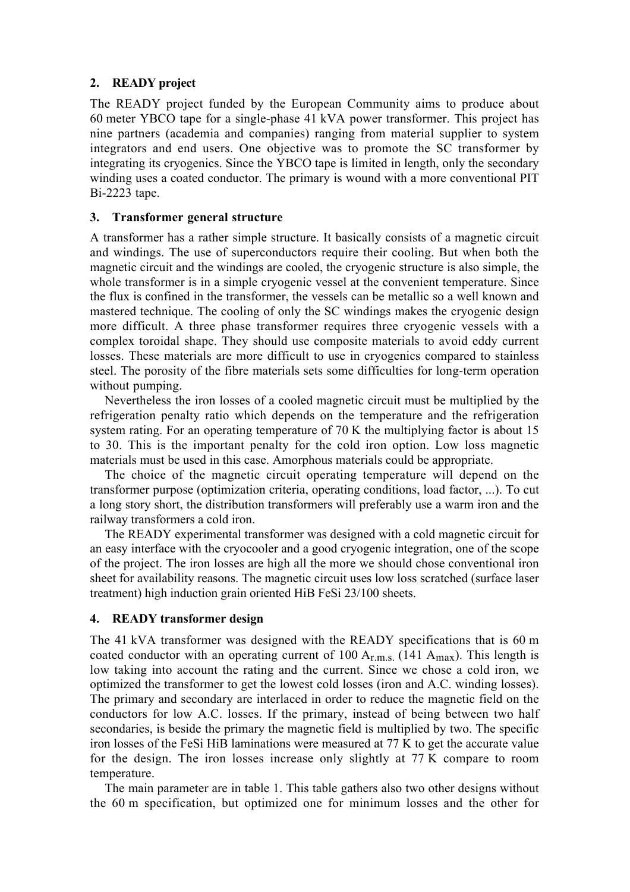# **2. READY project**

The READY project funded by the European Community aims to produce about 60 meter YBCO tape for a single-phase 41 kVA power transformer. This project has nine partners (academia and companies) ranging from material supplier to system integrators and end users. One objective was to promote the SC transformer by integrating its cryogenics. Since the YBCO tape is limited in length, only the secondary winding uses a coated conductor. The primary is wound with a more conventional PIT Bi-2223 tape.

# **3. Transformer general structure**

A transformer has a rather simple structure. It basically consists of a magnetic circuit and windings. The use of superconductors require their cooling. But when both the magnetic circuit and the windings are cooled, the cryogenic structure is also simple, the whole transformer is in a simple cryogenic vessel at the convenient temperature. Since the flux is confined in the transformer, the vessels can be metallic so a well known and mastered technique. The cooling of only the SC windings makes the cryogenic design more difficult. A three phase transformer requires three cryogenic vessels with a complex toroidal shape. They should use composite materials to avoid eddy current losses. These materials are more difficult to use in cryogenics compared to stainless steel. The porosity of the fibre materials sets some difficulties for long-term operation without pumping.

Nevertheless the iron losses of a cooled magnetic circuit must be multiplied by the refrigeration penalty ratio which depends on the temperature and the refrigeration system rating. For an operating temperature of 70 K the multiplying factor is about 15 to 30. This is the important penalty for the cold iron option. Low loss magnetic materials must be used in this case. Amorphous materials could be appropriate.

The choice of the magnetic circuit operating temperature will depend on the transformer purpose (optimization criteria, operating conditions, load factor, ...). To cut a long story short, the distribution transformers will preferably use a warm iron and the railway transformers a cold iron.

The READY experimental transformer was designed with a cold magnetic circuit for an easy interface with the cryocooler and a good cryogenic integration, one of the scope of the project. The iron losses are high all the more we should chose conventional iron sheet for availability reasons. The magnetic circuit uses low loss scratched (surface laser treatment) high induction grain oriented HiB FeSi 23/100 sheets.

## **4. READY transformer design**

The 41 kVA transformer was designed with the READY specifications that is 60 m coated conductor with an operating current of 100  $A_{r,m,s}$  (141  $A_{max}$ ). This length is low taking into account the rating and the current. Since we chose a cold iron, we optimized the transformer to get the lowest cold losses (iron and A.C. winding losses). The primary and secondary are interlaced in order to reduce the magnetic field on the conductors for low A.C. losses. If the primary, instead of being between two half secondaries, is beside the primary the magnetic field is multiplied by two. The specific iron losses of the FeSi HiB laminations were measured at 77 K to get the accurate value for the design. The iron losses increase only slightly at 77 K compare to room temperature.

The main parameter are in table 1. This table gathers also two other designs without the 60 m specification, but optimized one for minimum losses and the other for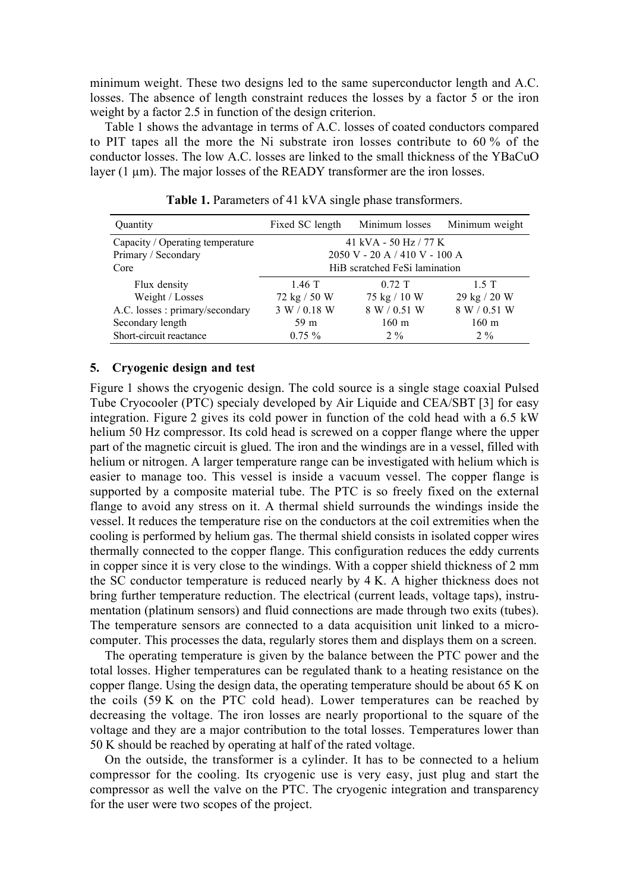minimum weight. These two designs led to the same superconductor length and A.C. losses. The absence of length constraint reduces the losses by a factor 5 or the iron weight by a factor 2.5 in function of the design criterion.

Table 1 shows the advantage in terms of A.C. losses of coated conductors compared to PIT tapes all the more the Ni substrate iron losses contribute to 60 % of the conductor losses. The low A.C. losses are linked to the small thickness of the YBaCuO layer  $(1 \mu m)$ . The major losses of the READY transformer are the iron losses.

| Quantity                                                | Fixed SC length                                          | Minimum losses   | Minimum weight |
|---------------------------------------------------------|----------------------------------------------------------|------------------|----------------|
| Capacity / Operating temperature<br>Primary / Secondary | 41 kVA - 50 Hz / 77 K<br>$2050$ V - 20 A / 410 V - 100 A |                  |                |
| Core                                                    | HiB scratched FeSi lamination                            |                  |                |
| Flux density                                            | $1.46$ T                                                 | $0.72 \text{ T}$ | 1.5T           |
| Weight / Losses                                         | 72 kg / 50 W                                             | 75 kg / 10 W     | 29 kg / 20 W   |
| A.C. losses: primary/secondary                          | 3 W / 0.18 W                                             | 8 W / 0.51 W     | 8 W / 0.51 W   |
| Secondary length                                        | 59 m                                                     | $160 \text{ m}$  | 160 m          |
| Short-circuit reactance                                 | $0.75 \%$                                                | $2\%$            | $2\%$          |

**Table 1.** Parameters of 41 kVA single phase transformers.

## **5. Cryogenic design and test**

Figure 1 shows the cryogenic design. The cold source is a single stage coaxial Pulsed Tube Cryocooler (PTC) specialy developed by Air Liquide and CEA/SBT [3] for easy integration. Figure 2 gives its cold power in function of the cold head with a 6.5 kW helium 50 Hz compressor. Its cold head is screwed on a copper flange where the upper part of the magnetic circuit is glued. The iron and the windings are in a vessel, filled with helium or nitrogen. A larger temperature range can be investigated with helium which is easier to manage too. This vessel is inside a vacuum vessel. The copper flange is supported by a composite material tube. The PTC is so freely fixed on the external flange to avoid any stress on it. A thermal shield surrounds the windings inside the vessel. It reduces the temperature rise on the conductors at the coil extremities when the cooling is performed by helium gas. The thermal shield consists in isolated copper wires thermally connected to the copper flange. This configuration reduces the eddy currents in copper since it is very close to the windings. With a copper shield thickness of 2 mm the SC conductor temperature is reduced nearly by 4 K. A higher thickness does not bring further temperature reduction. The electrical (current leads, voltage taps), instrumentation (platinum sensors) and fluid connections are made through two exits (tubes). The temperature sensors are connected to a data acquisition unit linked to a microcomputer. This processes the data, regularly stores them and displays them on a screen.

The operating temperature is given by the balance between the PTC power and the total losses. Higher temperatures can be regulated thank to a heating resistance on the copper flange. Using the design data, the operating temperature should be about 65 K on the coils (59 K on the PTC cold head). Lower temperatures can be reached by decreasing the voltage. The iron losses are nearly proportional to the square of the voltage and they are a major contribution to the total losses. Temperatures lower than 50 K should be reached by operating at half of the rated voltage.

On the outside, the transformer is a cylinder. It has to be connected to a helium compressor for the cooling. Its cryogenic use is very easy, just plug and start the compressor as well the valve on the PTC. The cryogenic integration and transparency for the user were two scopes of the project.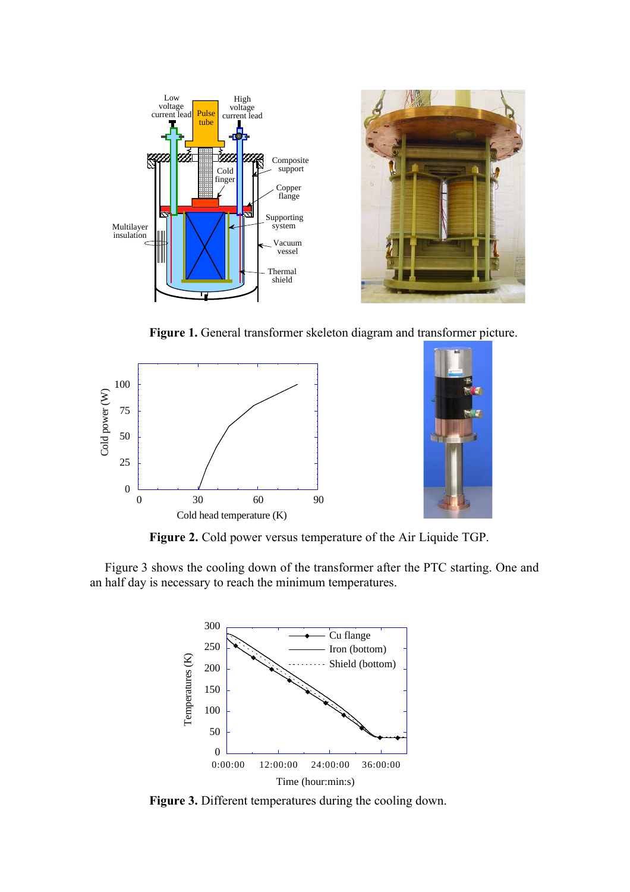

**Figure 1.** General transformer skeleton diagram and transformer picture.





**Figure 2.** Cold power versus temperature of the Air Liquide TGP.

Figure 3 shows the cooling down of the transformer after the PTC starting. One and an half day is necessary to reach the minimum temperatures.



**Figure 3.** Different temperatures during the cooling down.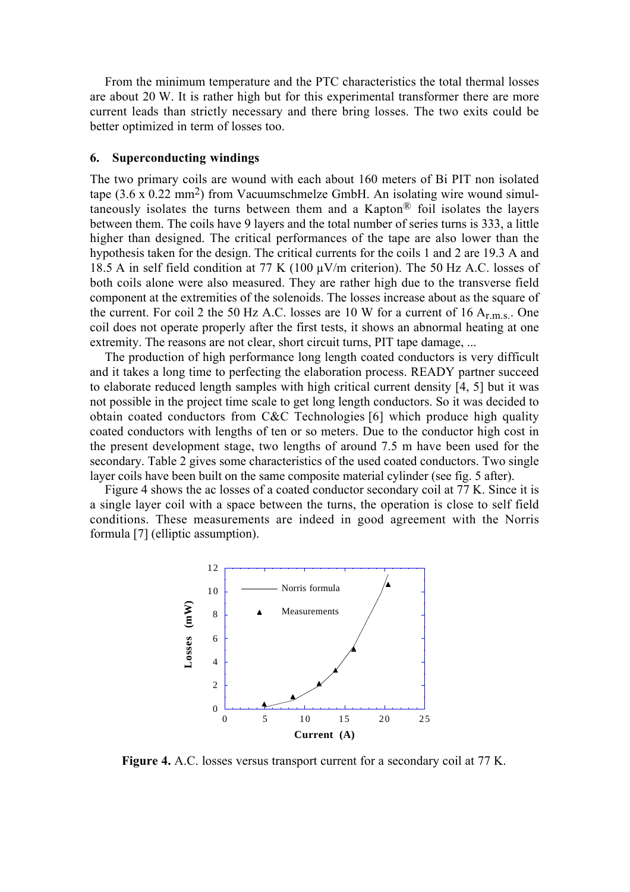From the minimum temperature and the PTC characteristics the total thermal losses are about 20 W. It is rather high but for this experimental transformer there are more current leads than strictly necessary and there bring losses. The two exits could be better optimized in term of losses too.

#### **6. Superconducting windings**

The two primary coils are wound with each about 160 meters of Bi PIT non isolated tape  $(3.6 \times 0.22 \text{ mm}^2)$  from Vacuumschmelze GmbH. An isolating wire wound simultaneously isolates the turns between them and a Kapton $\mathbb{R}$  foil isolates the layers between them. The coils have 9 layers and the total number of series turns is 333, a little higher than designed. The critical performances of the tape are also lower than the hypothesis taken for the design. The critical currents for the coils 1 and 2 are 19.3 A and 18.5 A in self field condition at 77 K (100  $\mu$ V/m criterion). The 50 Hz A.C. losses of both coils alone were also measured. They are rather high due to the transverse field component at the extremities of the solenoids. The losses increase about as the square of the current. For coil 2 the 50 Hz A.C. losses are 10 W for a current of 16  $A_{r,m,s}$ . One coil does not operate properly after the first tests, it shows an abnormal heating at one extremity. The reasons are not clear, short circuit turns, PIT tape damage, ...

The production of high performance long length coated conductors is very difficult and it takes a long time to perfecting the elaboration process. READY partner succeed to elaborate reduced length samples with high critical current density [4, 5] but it was not possible in the project time scale to get long length conductors. So it was decided to obtain coated conductors from C&C Technologies [6] which produce high quality coated conductors with lengths of ten or so meters. Due to the conductor high cost in the present development stage, two lengths of around 7.5 m have been used for the secondary. Table 2 gives some characteristics of the used coated conductors. Two single layer coils have been built on the same composite material cylinder (see fig. 5 after).

Figure 4 shows the ac losses of a coated conductor secondary coil at 77 K. Since it is a single layer coil with a space between the turns, the operation is close to self field conditions. These measurements are indeed in good agreement with the Norris formula [7] (elliptic assumption).



**Figure 4.** A.C. losses versus transport current for a secondary coil at 77 K.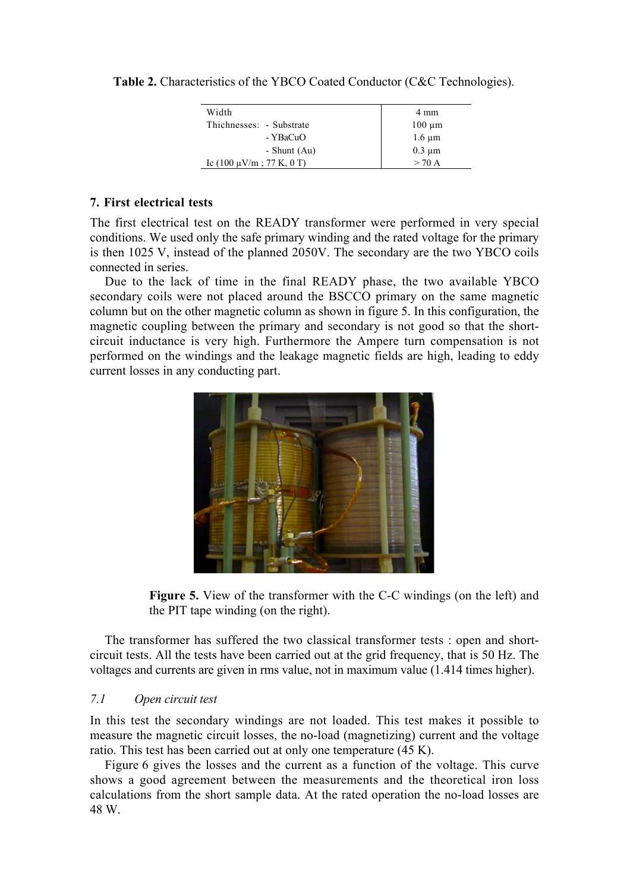**Table 2.** Characteristics of the YBCO Coated Conductor (C&C Technologies).

| Width                                        | 4 mm        |
|----------------------------------------------|-------------|
| Thichnesses: - Substrate                     | $100 \mu m$ |
| - YBaCuO                                     | $1.6 \mu m$ |
| - Shunt $(Au)$                               | $0.3 \mu m$ |
| Ic $(100 \text{ }\mu\text{V/m}$ ; 77 K, 0 T) | $>$ 70 A    |

# **7. First electrical tests**

The first electrical test on the READY transformer were performed in very special conditions. We used only the safe primary winding and the rated voltage for the primary is then 1025 V, instead of the planned 2050V. The secondary are the two YBCO coils connected in series.

Due to the lack of time in the final READY phase, the two available YBCO secondary coils were not placed around the BSCCO primary on the same magnetic column but on the other magnetic column as shown in figure 5. In this configuration, the magnetic coupling between the primary and secondary is not good so that the shortcircuit inductance is very high. Furthermore the Ampere turn compensation is not performed on the windings and the leakage magnetic fields are high, leading to eddy current losses in any conducting part.



Figure 5. View of the transformer with the C-C windings (on the left) and the PIT tape winding (on the right).

The transformer has suffered the two classical transformer tests : open and shortcircuit tests. All the tests have been carried out at the grid frequency, that is 50 Hz. The voltages and currents are given in rms value, not in maximum value (1.414 times higher).

#### *7.1 Open circuit test*

In this test the secondary windings are not loaded. This test makes it possible to measure the magnetic circuit losses, the no-load (magnetizing) current and the voltage ratio. This test has been carried out at only one temperature (45 K).

Figure 6 gives the losses and the current as a function of the voltage. This curve shows a good agreement between the measurements and the theoretical iron loss calculations from the short sample data. At the rated operation the no-load losses are 48 W.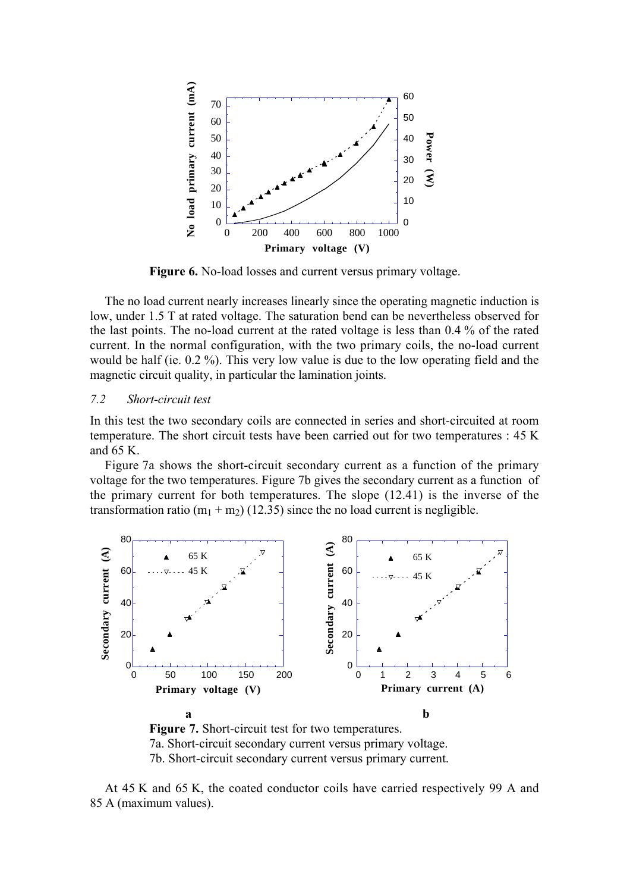

**Figure 6.** No-load losses and current versus primary voltage.

The no load current nearly increases linearly since the operating magnetic induction is low, under 1.5 T at rated voltage. The saturation bend can be nevertheless observed for the last points. The no-load current at the rated voltage is less than 0.4 % of the rated current. In the normal configuration, with the two primary coils, the no-load current would be half (ie. 0.2 %). This very low value is due to the low operating field and the magnetic circuit quality, in particular the lamination joints.

## *7.2 Short-circuit test*

In this test the two secondary coils are connected in series and short-circuited at room temperature. The short circuit tests have been carried out for two temperatures : 45 K and 65 K.

Figure 7a shows the short-circuit secondary current as a function of the primary voltage for the two temperatures. Figure 7b gives the secondary current as a function of the primary current for both temperatures. The slope (12.41) is the inverse of the transformation ratio  $(m_1 + m_2)$  (12.35) since the no load current is negligible.



**Figure 7.** Short-circuit test for two temperatures. 7a. Short-circuit secondary current versus primary voltage. 7b. Short-circuit secondary current versus primary current.

At 45 K and 65 K, the coated conductor coils have carried respectively 99 A and 85 A (maximum values).